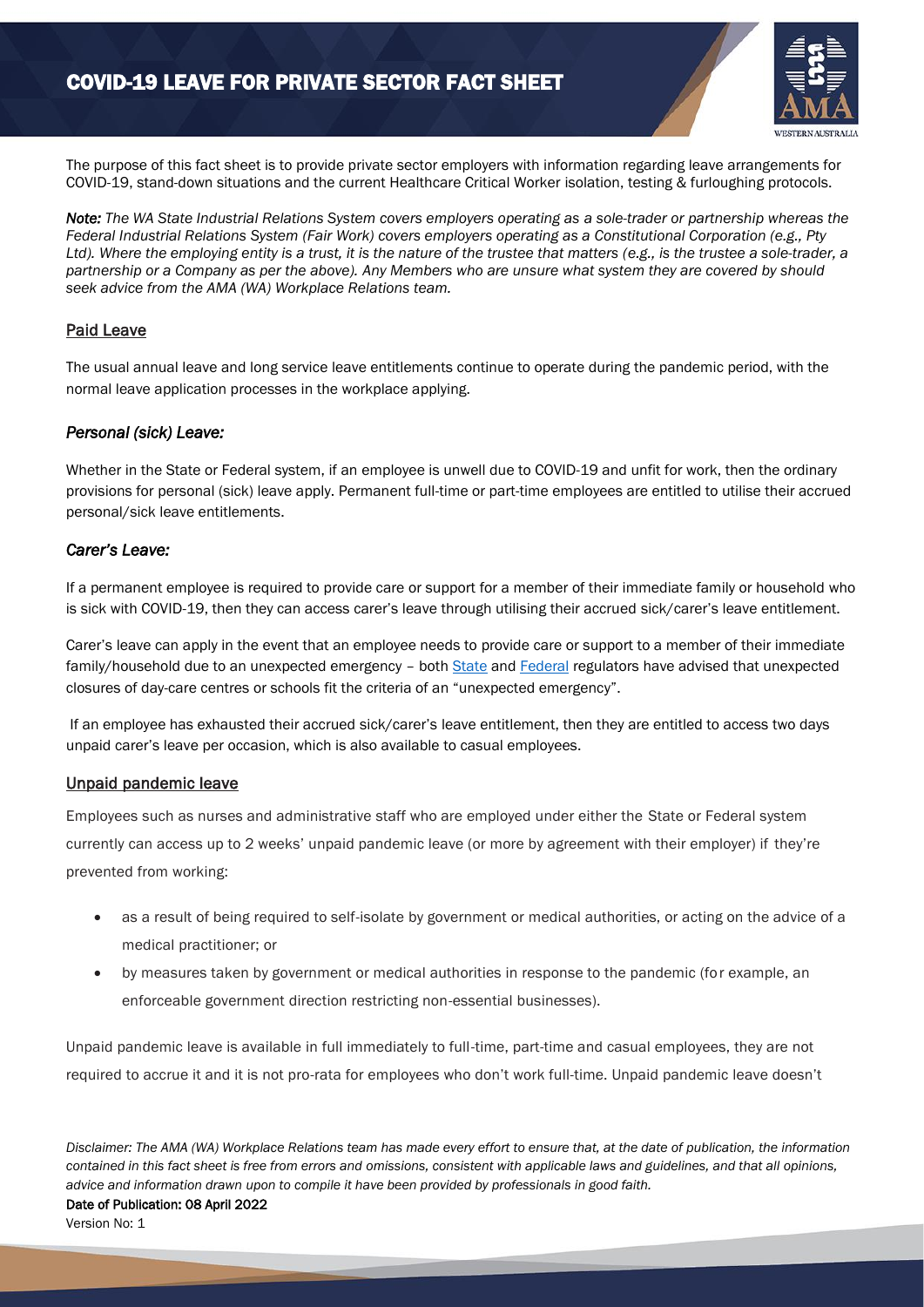

The purpose of this fact sheet is to provide private sector employers with information regarding leave arrangements for COVID-19, stand-down situations and the current Healthcare Critical Worker isolation, testing & furloughing protocols.

*Note: The WA State Industrial Relations System covers employers operating as a sole-trader or partnership whereas the Federal Industrial Relations System (Fair Work) covers employers operating as a Constitutional Corporation (e.g., Pty Ltd). Where the employing entity is a trust, it is the nature of the trustee that matters (e.g., is the trustee a sole-trader, a partnership or a Company as per the above). Any Members who are unsure what system they are covered by should seek advice from the AMA (WA) Workplace Relations team.*

# Paid Leave

The usual annual leave and long service leave entitlements continue to operate during the pandemic period, with the normal leave application processes in the workplace applying.

# *Personal (sick) Leave:*

Whether in the State or Federal system, if an employee is unwell due to COVID-19 and unfit for work, then the ordinary provisions for personal (sick) leave apply. Permanent full-time or part-time employees are entitled to utilise their accrued personal/sick leave entitlements.

# *Carer's Leave:*

If a permanent employee is required to provide care or support for a member of their immediate family or household who is sick with COVID-19, then they can access carer's leave through utilising their accrued sick/carer's leave entitlement.

Carer's leave can apply in the event that an employee needs to provide care or support to a member of their immediate family/household due to an unexpected emergency - bot[h State](https://www.commerce.wa.gov.au/labour-relations/employment-impacted-covid-19-coronavirus) and [Federal](https://coronavirus.fairwork.gov.au/coronavirus-and-australian-workplace-laws/pay-leave-and-stand-downs/sick-and-carers-leave#carers-leave-due-to-COVID-19) regulators have advised that unexpected closures of day-care centres or schools fit the criteria of an "unexpected emergency".

If an employee has exhausted their accrued sick/carer's leave entitlement, then they are entitled to access two days unpaid carer's leave per occasion, which is also available to casual employees.

### Unpaid pandemic leave

Employees such as nurses and administrative staff who are employed under either the State or Federal system currently can access up to 2 weeks' unpaid pandemic leave (or more by agreement with their employer) if they're prevented from working:

- as a result of being required to self-isolate by government or medical authorities, or acting on the advice of a medical practitioner; or
- by measures taken by government or medical authorities in response to the pandemic (for example, an enforceable government direction restricting non-essential businesses).

Unpaid pandemic leave is available in full immediately to full-time, part-time and casual employees, they are not required to accrue it and it is not pro-rata for employees who don't work full-time. Unpaid pandemic leave doesn't

*Disclaimer: The AMA (WA) Workplace Relations team has made every effort to ensure that, at the date of publication, the information contained in this fact sheet is free from errors and omissions, consistent with applicable laws and guidelines, and that all opinions, advice and information drawn upon to compile it have been provided by professionals in good faith.* Date of Publication:08 April 2022 Version No: 1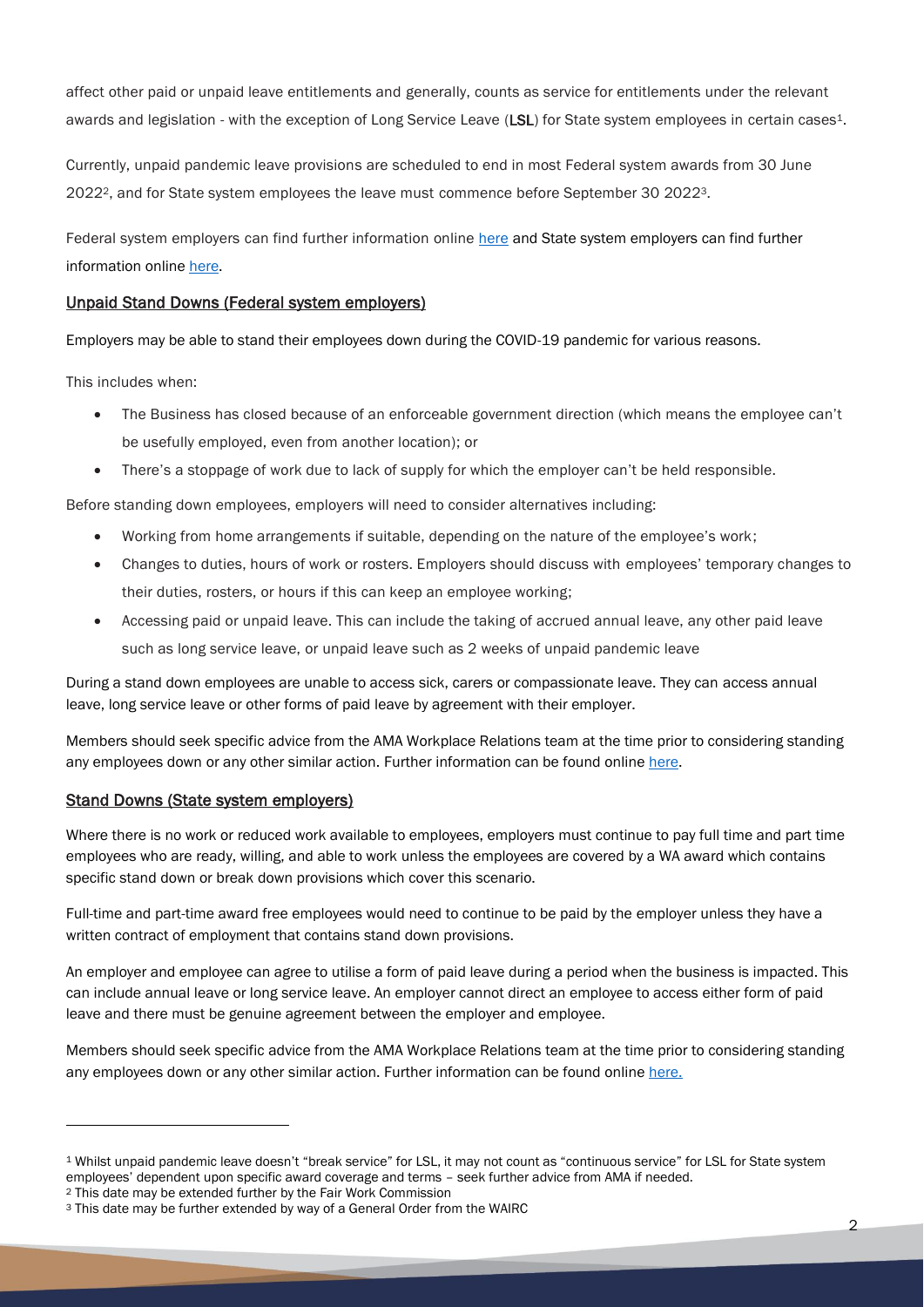affect other paid or unpaid leave entitlements and generally, counts as service for entitlements under the relevant awards and legislation - with the exception of Long Service Leave (LSL) for State system employees in certain cases<sup>1</sup>.

Currently, unpaid pandemic leave provisions are scheduled to end in most Federal system awards from 30 June 20222, and for State system employees the leave must commence before September 30 20223.

Federal system employers can find further information online [here](https://coronavirus.fairwork.gov.au/coronavirus-and-australian-workplace-laws/pay-leave-and-stand-downs/unpaid-pandemic-leave-annual-leave-changes-in-awards) and State system employers can find further information online [here.](https://www.commerce.wa.gov.au/labour-relations/unpaid-pandemic-leave)

## Unpaid Stand Downs (Federal system employers)

Employers may be able to stand their employees down during the COVID-19 pandemic for various reasons.

This includes when:

- The Business has closed because of an enforceable government direction (which means the employee can't be usefully employed, even from another location); or
- There's a stoppage of work due to lack of supply for which the employer can't be held responsible.

Before standing down employees, employers will need to consider alternatives including:

- Working from home arrangements if suitable, depending on the nature of the employee's work;
- Changes to duties, hours of work or rosters. Employers should discuss with employees' temporary changes to their duties, rosters, or hours if this can keep an employee working;
- Accessing paid or unpaid leave. This can include the taking of accrued annual leave, any other paid leave such as long service leave, or unpaid leave such as 2 weeks of unpaid pandemic leave

During a stand down employees are unable to access sick, carers or compassionate leave. They can access annual leave, long service leave or other forms of paid leave by agreement with their employer.

Members should seek specific advice from the AMA Workplace Relations team at the time prior to considering standing any employees down or any other similar action. Further information can be found online [here.](https://coronavirus.fairwork.gov.au/coronavirus-and-australian-workplace-laws/pay-leave-and-stand-downs/stand-downs)

### Stand Downs (State system employers)

Where there is no work or reduced work available to employees, employers must continue to pay full time and part time employees who are ready, willing, and able to work unless the employees are covered by a WA award which contains specific stand down or break down provisions which cover this scenario.

Full-time and part-time award free employees would need to continue to be paid by the employer unless they have a written contract of employment that contains stand down provisions.

An employer and employee can agree to utilise a form of paid leave during a period when the business is impacted. This can include annual leave or long service leave. An employer cannot direct an employee to access either form of paid leave and there must be genuine agreement between the employer and employee.

Members should seek specific advice from the AMA Workplace Relations team at the time prior to considering standing any employees down or any other similar action. Further information can be found online [here.](https://www.commerce.wa.gov.au/labour-relations/employment-impacted-covid-19-coronavirus)

<sup>1</sup> Whilst unpaid pandemic leave doesn't "break service" for LSL, it may not count as "continuous service" for LSL for State system employees' dependent upon specific award coverage and terms – seek further advice from AMA if needed.

<sup>2</sup> This date may be extended further by the Fair Work Commission

<sup>3</sup> This date may be further extended by way of a General Order from the WAIRC